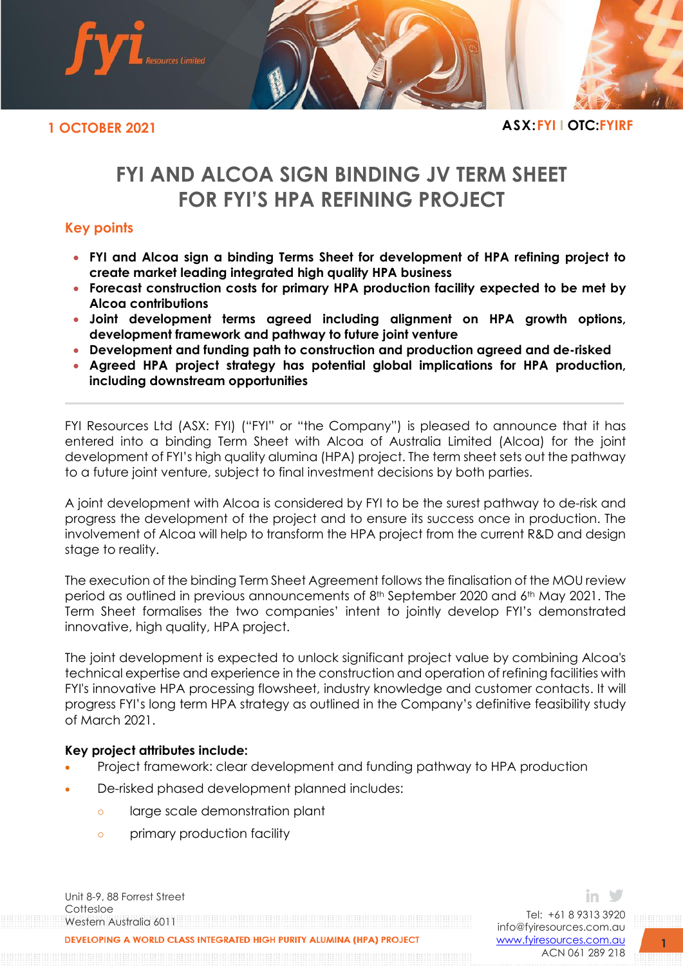

**1 OCTOBER 2021 ASX:FYI I OTC:FYIRF**

# **FYI AND ALCOA SIGN BINDING JV TERM SHEET FOR FYI'S HPA REFINING PROJECT**

# **Key points**

- **FYI and Alcoa sign a binding Terms Sheet for development of HPA refining project to create market leading integrated high quality HPA business**
- **Forecast construction costs for primary HPA production facility expected to be met by Alcoa contributions**
- **Joint development terms agreed including alignment on HPA growth options, development framework and pathway to future joint venture**
- **Development and funding path to construction and production agreed and de-risked**
- **Agreed HPA project strategy has potential global implications for HPA production, including downstream opportunities**

FYI Resources Ltd (ASX: FYI) ("FYI" or "the Company") is pleased to announce that it has entered into a binding Term Sheet with Alcoa of Australia Limited (Alcoa) for the joint development of FYI's high quality alumina (HPA) project. The term sheet sets out the pathway to a future joint venture, subject to final investment decisions by both parties.

A joint development with Alcoa is considered by FYI to be the surest pathway to de-risk and progress the development of the project and to ensure its success once in production. The involvement of Alcoa will help to transform the HPA project from the current R&D and design stage to reality.

The execution of the binding Term Sheet Agreement follows the finalisation of the MOU review period as outlined in previous announcements of 8<sup>th</sup> September 2020 and 6<sup>th</sup> May 2021. The Term Sheet formalises the two companies' intent to jointly develop FYI's demonstrated innovative, high quality, HPA project.

The joint development is expected to unlock significant project value by combining Alcoa's technical expertise and experience in the construction and operation of refining facilities with FYI's innovative HPA processing flowsheet, industry knowledge and customer contacts. It will progress FYI's long term HPA strategy as outlined in the Company's definitive feasibility study of March 2021.

# **Key project attributes include:**

- Project framework: clear development and funding pathway to HPA production
- De-risked phased development planned includes:
	- o large scale demonstration plant
	- o primary production facility

Unit 8-9, 88 Forrest Street Cottesloe Western Australia 6011 VELOPING A WORLD CLASS INTEGRATED HIGH PURITY ALUMINA (HPA) PROJECT

Tel: +61 8 9313 3920 [info@fyiresources.com.au](mailto:info@fyiresources.com.au) [www.fyiresources.com.au](mailto:https://www.fyiresources.com.au/) ACN 061 289 218

in Y

**1**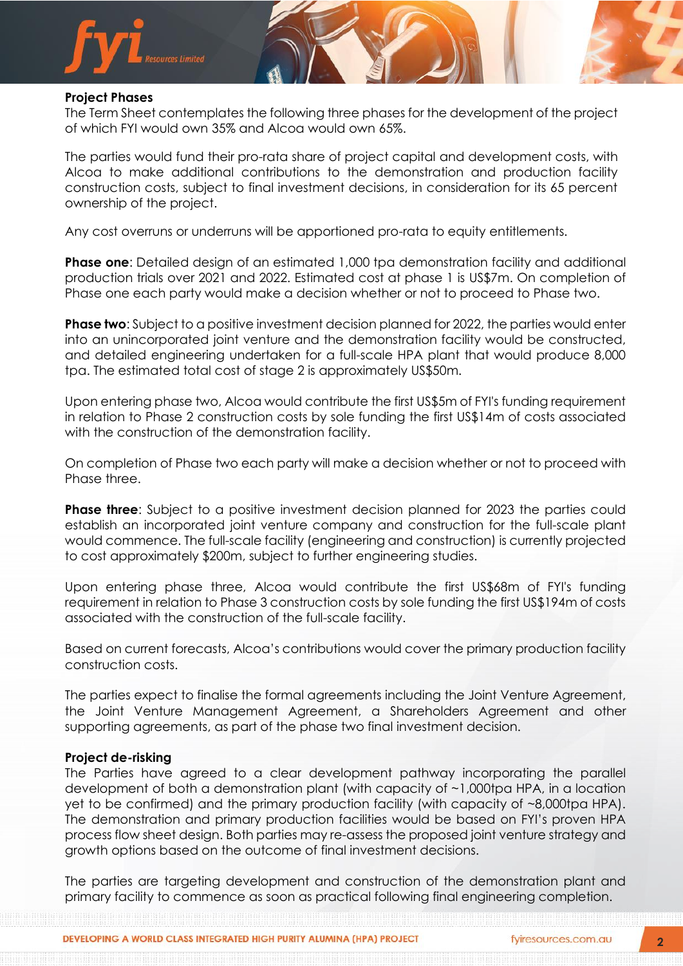

# **Project Phases**

The Term Sheet contemplates the following three phases for the development of the project of which FYI would own 35% and Alcoa would own 65%.

The parties would fund their pro-rata share of project capital and development costs, with Alcoa to make additional contributions to the demonstration and production facility construction costs, subject to final investment decisions, in consideration for its 65 percent ownership of the project.

Any cost overruns or underruns will be apportioned pro-rata to equity entitlements.

**Phase one**: Detailed design of an estimated 1,000 tpa demonstration facility and additional production trials over 2021 and 2022. Estimated cost at phase 1 is US\$7m. On completion of Phase one each party would make a decision whether or not to proceed to Phase two.

**Phase two**: Subject to a positive investment decision planned for 2022, the parties would enter into an unincorporated joint venture and the demonstration facility would be constructed, and detailed engineering undertaken for a full-scale HPA plant that would produce 8,000 tpa. The estimated total cost of stage 2 is approximately US\$50m.

Upon entering phase two, Alcoa would contribute the first US\$5m of FYI's funding requirement in relation to Phase 2 construction costs by sole funding the first US\$14m of costs associated with the construction of the demonstration facility.

On completion of Phase two each party will make a decision whether or not to proceed with Phase three.

**Phase three**: Subject to a positive investment decision planned for 2023 the parties could establish an incorporated joint venture company and construction for the full-scale plant would commence. The full-scale facility (engineering and construction) is currently projected to cost approximately \$200m, subject to further engineering studies.

Upon entering phase three, Alcoa would contribute the first US\$68m of FYI's funding requirement in relation to Phase 3 construction costs by sole funding the first US\$194m of costs associated with the construction of the full-scale facility.

Based on current forecasts, Alcoa's contributions would cover the primary production facility construction costs.

The parties expect to finalise the formal agreements including the Joint Venture Agreement, the Joint Venture Management Agreement, a Shareholders Agreement and other supporting agreements, as part of the phase two final investment decision.

## **Project de-risking**

The Parties have agreed to a clear development pathway incorporating the parallel development of both a demonstration plant (with capacity of ~1,000tpa HPA, in a location yet to be confirmed) and the primary production facility (with capacity of ~8,000tpa HPA). The demonstration and primary production facilities would be based on FYI's proven HPA process flow sheet design. Both parties may re-assess the proposed joint venture strategy and growth options based on the outcome of final investment decisions.

The parties are targeting development and construction of the demonstration plant and primary facility to commence as soon as practical following final engineering completion.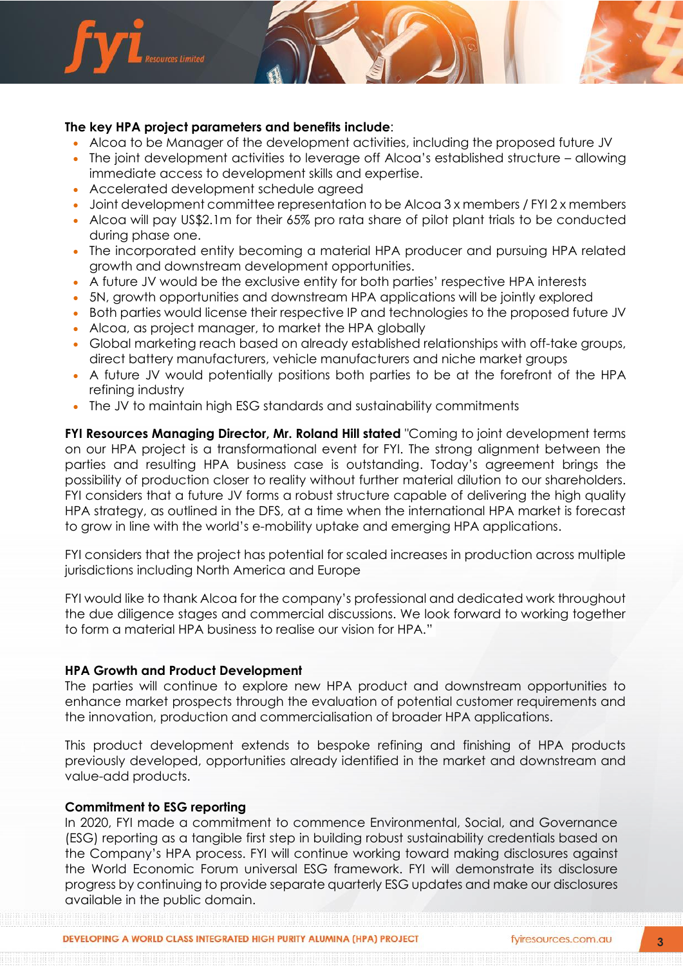

- Alcoa to be Manager of the development activities, including the proposed future JV
- The joint development activities to leverage off Alcoa's established structure allowing immediate access to development skills and expertise.
- Accelerated development schedule agreed
- Joint development committee representation to be Alcoa 3 x members / FYI 2 x members
- Alcoa will pay US\$2.1m for their 65% pro rata share of pilot plant trials to be conducted during phase one.
- The incorporated entity becoming a material HPA producer and pursuing HPA related growth and downstream development opportunities.
- A future JV would be the exclusive entity for both parties' respective HPA interests
- 5N, growth opportunities and downstream HPA applications will be jointly explored
- Both parties would license their respective IP and technologies to the proposed future JV
- Alcoa, as project manager, to market the HPA globally
- Global marketing reach based on already established relationships with off-take groups, direct battery manufacturers, vehicle manufacturers and niche market groups
- A future JV would potentially positions both parties to be at the forefront of the HPA refining industry
- The JV to maintain high ESG standards and sustainability commitments

**FYI Resources Managing Director, Mr. Roland Hill stated** "Coming to joint development terms on our HPA project is a transformational event for FYI. The strong alignment between the parties and resulting HPA business case is outstanding. Today's agreement brings the possibility of production closer to reality without further material dilution to our shareholders. FYI considers that a future JV forms a robust structure capable of delivering the high quality HPA strategy, as outlined in the DFS, at a time when the international HPA market is forecast to grow in line with the world's e-mobility uptake and emerging HPA applications.

FYI considers that the project has potential for scaled increases in production across multiple jurisdictions including North America and Europe

FYI would like to thank Alcoa for the company's professional and dedicated work throughout the due diligence stages and commercial discussions. We look forward to working together to form a material HPA business to realise our vision for HPA."

## **HPA Growth and Product Development**

The parties will continue to explore new HPA product and downstream opportunities to enhance market prospects through the evaluation of potential customer requirements and the innovation, production and commercialisation of broader HPA applications.

This product development extends to bespoke refining and finishing of HPA products previously developed, opportunities already identified in the market and downstream and value-add products.

#### **Commitment to ESG reporting**

In 2020, FYI made a commitment to commence Environmental, Social, and Governance (ESG) reporting as a tangible first step in building robust sustainability credentials based on the Company's HPA process. FYI will continue working toward making disclosures against the World Economic Forum universal ESG framework. FYI will demonstrate its disclosure progress by continuing to provide separate quarterly ESG updates and make our disclosures available in the public domain.